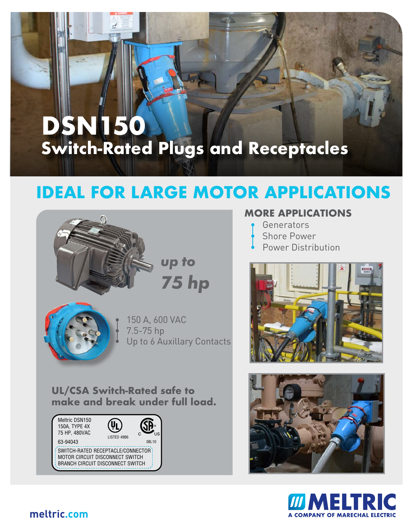# **Switch-Rated Plugs and Receptacles DSN150**

# **IDEAL FOR LARGE MOTOR APPLICATIONS**



• 150 A, 600 VAC Up to 6 Auxillary Contacts

**UL/CSA Switch-Rated safe to make and break under full load.**



### **MORE APPLICATIONS**

- **Generators**
- Shore Power
- Power Distribution







### **meltric.com**